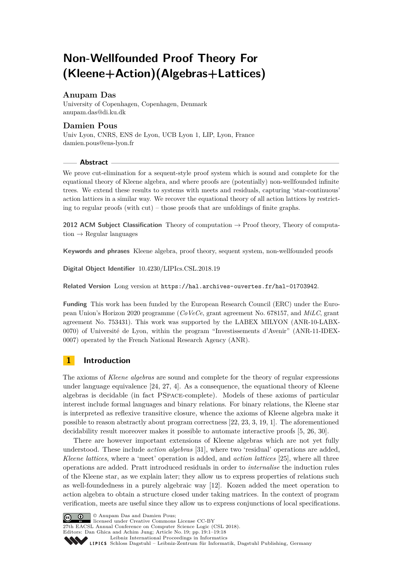# **Non-Wellfounded Proof Theory For (Kleene+Action)(Algebras+Lattices)**

# **Anupam Das**

University of Copenhagen, Copenhagen, Denmark [anupam.das@di.ku.dk](mailto:anupam.das@di.ku.dk)

# **Damien Pous**

Univ Lyon, CNRS, ENS de Lyon, UCB Lyon 1, LIP, Lyon, France [damien.pous@ens-lyon.fr](mailto:damien.pous@ens-lyon.fr)

### **Abstract**

We prove cut-elimination for a sequent-style proof system which is sound and complete for the equational theory of Kleene algebra, and where proofs are (potentially) non-wellfounded infinite trees. We extend these results to systems with meets and residuals, capturing 'star-continuous' action lattices in a similar way. We recover the equational theory of all action lattices by restricting to regular proofs (with cut) – those proofs that are unfoldings of finite graphs.

**2012 ACM Subject Classification** Theory of computation → Proof theory, Theory of computation  $\rightarrow$  Regular languages

**Keywords and phrases** Kleene algebra, proof theory, sequent system, non-wellfounded proofs

**Digital Object Identifier** [10.4230/LIPIcs.CSL.2018.19](http://dx.doi.org/10.4230/LIPIcs.CSL.2018.19)

**Related Version** Long version at <https://hal.archives-ouvertes.fr/hal-01703942>.

**Funding** This work has been funded by the European Research Council (ERC) under the European Union's Horizon 2020 programme (*CoVeCe*, grant agreement No. 678157, and *MiLC*, grant agreement No. 753431). This work was supported by the LABEX MILYON (ANR-10-LABX-0070) of Université de Lyon, within the program "Investissements d'Avenir" (ANR-11-IDEX-0007) operated by the French National Research Agency (ANR).

# **1 Introduction**

The axioms of *Kleene algebras* are sound and complete for the theory of regular expressions under language equivalence [\[24,](#page-16-0) [27,](#page-17-0) [4\]](#page-15-0). As a consequence, the equational theory of Kleene algebras is decidable (in fact PSpace-complete). Models of these axioms of particular interest include formal languages and binary relations. For binary relations, the Kleene star is interpreted as reflexive transitive closure, whence the axioms of Kleene algebra make it possible to reason abstractly about program correctness [\[22,](#page-16-1) [23,](#page-16-2) [3,](#page-15-1) [19,](#page-16-3) [1\]](#page-15-2). The aforementioned decidability result moreover makes it possible to automate interactive proofs [\[5,](#page-16-4) [26,](#page-17-1) [30\]](#page-17-2).

There are however important extensions of Kleene algebras which are not yet fully understood. These include *action algebras* [\[31\]](#page-17-3), where two 'residual' operations are added, *Kleene lattices*, where a 'meet' operation is added, and *action lattices* [\[25\]](#page-17-4), where all three operations are added. Pratt introduced residuals in order to *internalise* the induction rules of the Kleene star, as we explain later; they allow us to express properties of relations such as well-foundedness in a purely algebraic way [\[12\]](#page-16-5). Kozen added the meet operation to action algebra to obtain a structure closed under taking matrices. In the context of program verification, meets are useful since they allow us to express conjunctions of local specifications.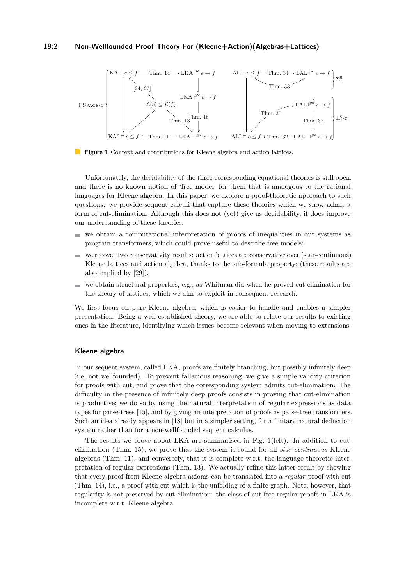#### **19:2 Non-Wellfounded Proof Theory For (Kleene+Action)(Algebras+Lattices)**

<span id="page-1-0"></span>

**Figure 1** Context and contributions for Kleene algebra and action lattices.

Unfortunately, the decidability of the three corresponding equational theories is still open, and there is no known notion of 'free model' for them that is analogous to the rational languages for Kleene algebra. In this paper, we explore a proof-theoretic approach to such questions: we provide sequent calculi that capture these theories which we show admit a form of cut-elimination. Although this does not (yet) give us decidability, it does improve our understanding of these theories:

- we obtain a computational interpretation of proofs of inequalities in our systems as  $\blacksquare$ program transformers, which could prove useful to describe free models;
- we recover two conservativity results: action lattices are conservative over (star-continuous)  $\blacksquare$ Kleene lattices and action algebra, thanks to the sub-formula property; (these results are also implied by [\[29\]](#page-17-6)).
- we obtain structural properties, e.g., as Whitman did when he proved cut-elimination for the theory of lattices, which we aim to exploit in consequent research.

We first focus on pure Kleene algebra, which is easier to handle and enables a simpler presentation. Being a well-established theory, we are able to relate our results to existing ones in the literature, identifying which issues become relevant when moving to extensions.

#### **Kleene algebra**

In our sequent system, called LKA, proofs are finitely branching, but possibly infinitely deep (i.e. not wellfounded). To prevent fallacious reasoning, we give a simple validity criterion for proofs with cut, and prove that the corresponding system admits cut-elimination. The difficulty in the presence of infinitely deep proofs consists in proving that cut-elimination is productive; we do so by using the natural interpretation of regular expressions as data types for parse-trees [\[15\]](#page-16-6), and by giving an interpretation of proofs as parse-tree transformers. Such an idea already appears in [\[18\]](#page-16-7) but in a simpler setting, for a finitary natural deduction system rather than for a non-wellfounded sequent calculus.

The results we prove about LKA are summarised in Fig. [1\(](#page-1-0)left). In addition to cutelimination (Thm. [15\)](#page-8-0), we prove that the system is sound for all *star-continuous* Kleene algebras (Thm. [11\)](#page-7-2), and conversely, that it is complete w.r.t. the language theoretic interpretation of regular expressions (Thm. [13\)](#page-7-1). We actually refine this latter result by showing that every proof from Kleene algebra axioms can be translated into a *regular* proof with cut (Thm. [14\)](#page-7-0), i.e., a proof with cut which is the unfolding of a finite graph. Note, however, that regularity is not preserved by cut-elimination: the class of cut-free regular proofs in LKA is incomplete w.r.t. Kleene algebra.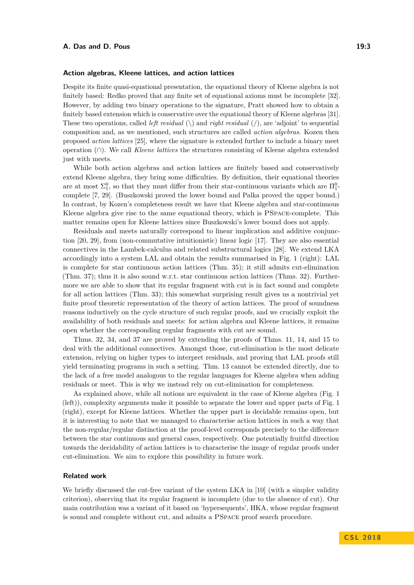#### **Action algebras, Kleene lattices, and action lattices**

Despite its finite quasi-equational presentation, the equational theory of Kleene algebra is not finitely based: Redko proved that any finite set of equational axioms must be incomplete [\[32\]](#page-17-7). However, by adding two binary operations to the signature, Pratt showed how to obtain a finitely based extension which is conservative over the equational theory of Kleene algebras [\[31\]](#page-17-3). These two operations, called *left residual*  $(\rangle)$  and *right residual*  $(\rangle)$ , are 'adjoint' to sequential composition and, as we mentioned, such structures are called *action algebras*. Kozen then proposed *action lattices* [\[25\]](#page-17-4), where the signature is extended further to include a binary meet operation (∩). We call *Kleene lattices* the structures consisting of Kleene algebra extended just with meets.

While both action algebras and action lattices are finitely based and conservatively extend Kleene algebra, they bring some difficulties. By definition, their equational theories are at most  $\Sigma_1^0$ , so that they must differ from their star-continuous variants which are  $\Pi_1^0$ complete [\[7,](#page-16-8) [29\]](#page-17-6). (Buszkowski proved the lower bound and Palka proved the upper bound.) In contrast, by Kozen's completeness result we have that Kleene algebra and star-continuous Kleene algebra give rise to the same equational theory, which is PSpace-complete. This matter remains open for Kleene lattices since Buszkowski's lower bound does not apply.

Residuals and meets naturally correspond to linear implication and additive conjunction [\[20,](#page-16-9) [29\]](#page-17-6), from (non-commutative intuitionistic) linear logic [\[17\]](#page-16-10). They are also essential connectives in the Lambek-calculus and related substructural logics [\[28\]](#page-17-8). We extend LKA accordingly into a system LAL and obtain the results summarised in Fig. [1](#page-1-0) (right): LAL is complete for star continuous action lattices (Thm. [35\)](#page-13-1); it still admits cut-elimination (Thm. [37\)](#page-14-0); thus it is also sound w.r.t. star continuous action lattices (Thms. [32\)](#page-12-1). Furthermore we are able to show that its regular fragment with cut is in fact sound and complete for all action lattices (Thm. [33\)](#page-12-0); this somewhat surprising result gives us a nontrivial yet finite proof theoretic representation of the theory of action lattices. The proof of soundness reasons inductively on the cycle structure of such regular proofs, and we crucially exploit the availability of both residuals and meets: for action algebra and Kleene lattices, it remains open whether the corresponding regular fragments with cut are sound.

Thms. [32,](#page-12-1) [34,](#page-13-0) and [37](#page-14-0) are proved by extending the proofs of Thms. [11,](#page-7-2) [14,](#page-7-0) and [15](#page-8-0) to deal with the additional connectives. Amongst those, cut-elimination is the most delicate extension, relying on higher types to interpret residuals, and proving that LAL proofs still yield terminating programs in such a setting. Thm. [13](#page-7-1) cannot be extended directly, due to the lack of a free model analogous to the regular languages for Kleene algebra when adding residuals or meet. This is why we instead rely on cut-elimination for completeness.

As explained above, while all notions are equivalent in the case of Kleene algebra (Fig. [1](#page-1-0) (left)), complexity arguments make it possible to separate the lower and upper parts of Fig. [1](#page-1-0) (right), except for Kleene lattices. Whether the upper part is decidable remains open, but it is interesting to note that we managed to characterise action lattices in such a way that the non-regular/regular distinction at the proof-level corresponds precisely to the difference between the star continuous and general cases, respectively. One potentially fruitful direction towards the decidability of action lattices is to characterise the image of regular proofs under cut-elimination. We aim to explore this possibility in future work.

## **Related work**

We briefly discussed the cut-free variant of the system LKA in [\[10\]](#page-16-11) (with a simpler validity criterion), observing that its regular fragment is incomplete (due to the absence of cut). Our main contribution was a variant of it based on 'hypersequents', HKA, whose regular fragment is sound and complete without cut, and admits a PSpace proof search procedure.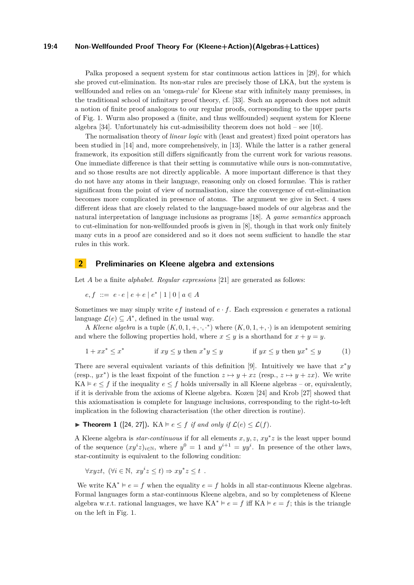#### **19:4 Non-Wellfounded Proof Theory For (Kleene+Action)(Algebras+Lattices)**

Palka proposed a sequent system for star continuous action lattices in [\[29\]](#page-17-6), for which she proved cut-elimination. Its non-star rules are precisely those of LKA, but the system is wellfounded and relies on an 'omega-rule' for Kleene star with infinitely many premisses, in the traditional school of infinitary proof theory, cf. [\[33\]](#page-17-9). Such an approach does not admit a notion of finite proof analogous to our regular proofs, corresponding to the upper parts of Fig. [1.](#page-1-0) Wurm also proposed a (finite, and thus wellfounded) sequent system for Kleene algebra [\[34\]](#page-17-10). Unfortunately his cut-admissibility theorem does not hold – see [\[10\]](#page-16-11).

The normalisation theory of *linear logic* with (least and greatest) fixed point operators has been studied in [\[14\]](#page-16-12) and, more comprehensively, in [\[13\]](#page-16-13). While the latter is a rather general framework, its exposition still differs significantly from the current work for various reasons. One immediate difference is that their setting is commutative while ours is non-commutative, and so those results are not directly applicable. A more important difference is that they do not have any atoms in their language, reasoning only on closed formulae. This is rather significant from the point of view of normalisation, since the convergence of cut-elimination becomes more complicated in presence of atoms. The argument we give in Sect. [4](#page-8-1) uses different ideas that are closely related to the language-based models of our algebras and the natural interpretation of language inclusions as programs [\[18\]](#page-16-7). A *game semantics* approach to cut-elimination for non-wellfounded proofs is given in [\[8\]](#page-16-14), though in that work only finitely many cuts in a proof are considered and so it does not seem sufficient to handle the star rules in this work.

# **2 Preliminaries on Kleene algebra and extensions**

Let *A* be a finite *alphabet*. *Regular expressions* [\[21\]](#page-16-15) are generated as follows:

$$
e, f ::= e \cdot e | e + e | e^* | 1 | 0 | a \in A
$$

Sometimes we may simply write *ef* instead of *e* · *f*. Each expression *e* generates a rational language  $\mathcal{L}(e) \subseteq A^*$ , defined in the usual way.

A *Kleene algebra* is a tuple  $(K, 0, 1, +, \cdot, \cdot^*)$  where  $(K, 0, 1, +, \cdot)$  is an idempotent semiring and where the following properties hold, where  $x \leq y$  is a shorthand for  $x + y = y$ .

<span id="page-3-1"></span>
$$
1 + xx^* \le x^* \qquad \text{if } xy \le y \text{ then } x^*y \le y \qquad \text{if } yx \le y \text{ then } yx^* \le y \qquad (1)
$$

There are several equivalent variants of this definition [\[9\]](#page-16-16). Intuitively we have that  $x^*y$ (resp.,  $yx^*$ ) is the least fixpoint of the function  $z \mapsto y + xz$  (resp.,  $z \mapsto y + zx$ ). We write KA  $\in$  *e*  $\le$  *f* if the inequality *e*  $\le$  *f* holds universally in all Kleene algebras – or, equivalently, if it is derivable from the axioms of Kleene algebra. Kozen [\[24\]](#page-16-0) and Krob [\[27\]](#page-17-0) showed that this axiomatisation is complete for language inclusions, corresponding to the right-to-left implication in the following characterisation (the other direction is routine).

<span id="page-3-0"></span>▶ **Theorem 1** ([\[24,](#page-16-0) [27\]](#page-17-0)). KA  $\models e \leq f$  *if and only if*  $\mathcal{L}(e) \leq \mathcal{L}(f)$ *.* 

A Kleene algebra is *star-continuous* if for all elements *x, y, z*, *xy*<sup>∗</sup> *z* is the least upper bound of the sequence  $(xy^{i}z)_{i\in\mathbb{N}}$ , where  $y^{0}=1$  and  $y^{i+1}=yy^{i}$ . In presence of the other laws, star-continuity is equivalent to the following condition:

$$
\forall x yzt, \ (\forall i \in \mathbb{N}, \ xy^i z \le t) \Rightarrow xy^* z \le t \ .
$$

We write  $KA^* \vDash e = f$  when the equality  $e = f$  holds in all star-continuous Kleene algebras. Formal languages form a star-continuous Kleene algebra, and so by completeness of Kleene algebra w.r.t. rational languages, we have  $KA^* \vDash e = f$  iff  $KA \vDash e = f$ ; this is the triangle on the left in Fig. [1.](#page-1-0)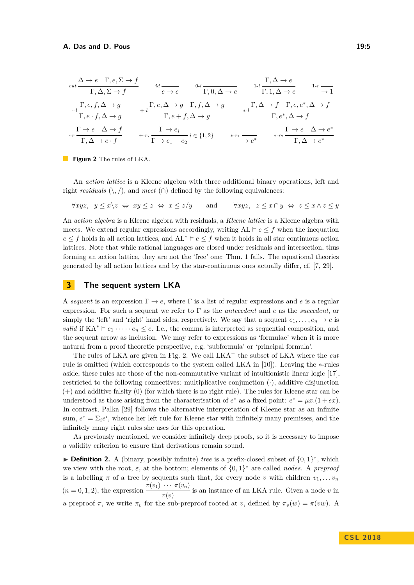<span id="page-4-0"></span>
$$
\begin{array}{ccc}\n\text{cut} \frac{\Delta \to e \quad \Gamma, e, \Sigma \to f}{\Gamma, \Delta, \Sigma \to f} & \text{id} \frac{\partial}{e \to e} & \frac{0 \cdot l}{\Gamma, 0, \Delta \to e} & \frac{1 \cdot l}{\Gamma, 1, \Delta \to e} & \frac{1 \cdot r}{\to 1} \\
\frac{\Gamma, e, f, \Delta \to g}{\Gamma, e \cdot f, \Delta \to g} & \text{Hence} & \frac{\Gamma, e, \Delta \to g \quad \Gamma, f, \Delta \to g}{\Gamma, e + f, \Delta \to g} & \text{and} & \frac{\Gamma, \Delta \to f \quad \Gamma, e, e^*, \Delta \to f}{\Gamma, e^*, \Delta \to f} \\
\frac{\Gamma \to e \quad \Delta \to f}{\Gamma, \Delta \to e \cdot f} & \text{Hence} & \frac{\Gamma \to e_i}{\Gamma \to e_1 + e_2} & i \in \{1, 2\} & \text{and} & \frac{\Gamma \to e \quad \Delta \to e^*}{\Gamma, \Delta \to e^*} & \frac{\Gamma \to e \quad \Delta \to e^*}{\Gamma, \Delta \to e^*}\n\end{array}
$$

**Figure 2** The rules of LKA.

An *action lattice* is a Kleene algebra with three additional binary operations, left and right *residuals*  $(\cdot, \cdot)$ , and *meet*  $(\cap)$  defined by the following equivalences:

∀*xyz, y* ≤ *x*\*z* ⇔ *xy* ≤ *z* ⇔ *x* ≤ *z/y* and ∀*xyz, z* ≤ *x* ∩ *y* ⇔ *z* ≤ *x* ∧ *z* ≤ *y*

An *action algebra* is a Kleene algebra with residuals, a *Kleene lattice* is a Kleene algebra with meets. We extend regular expressions accordingly, writing  $AL \vDash e \leq f$  when the inequation *e* ≤ *f* holds in all action lattices, and  $AL^* \vDash e ≤ f$  when it holds in all star continuous action lattices. Note that while rational languages are closed under residuals and intersection, thus forming an action lattice, they are not the 'free' one: Thm. [1](#page-3-0) fails. The equational theories generated by all action lattices and by the star-continuous ones actually differ, cf. [\[7,](#page-16-8) [29\]](#page-17-6).

# **3 The sequent system LKA**

A *sequent* is an expression  $\Gamma \to e$ , where  $\Gamma$  is a list of regular expressions and *e* is a regular expression. For such a sequent we refer to Γ as the *antecedent* and *e* as the *succedent*, or simply the 'left' and 'right' hand sides, respectively. We say that a sequent  $e_1, \ldots, e_n \to e$  is *valid* if  $KA^* \vDash e_1 \cdot \cdots \cdot e_n \leq e$ . I.e., the comma is interpreted as sequential composition, and the sequent arrow as inclusion. We may refer to expressions as 'formulae' when it is more natural from a proof theoretic perspective, e.g. 'subformula' or 'principal formula'.

The rules of LKA are given in Fig. [2.](#page-4-0) We call LKA<sup>−</sup> the subset of LKA where the *cut* rule is omitted (which corresponds to the system called LKA in [\[10\]](#page-16-11)). Leaving the ∗-rules aside, these rules are those of the non-commutative variant of intuitionistic linear logic [\[17\]](#page-16-10), restricted to the following connectives: multiplicative conjunction  $(\cdot)$ , additive disjunction (+) and additive falsity (0) (for which there is no right rule). The rules for Kleene star can be understood as those arising from the characterisation of  $e^*$  as a fixed point:  $e^* = \mu x.(1 + e x)$ . In contrast, Palka [\[29\]](#page-17-6) follows the alternative interpretation of Kleene star as an infinite sum,  $e^* = \sum_i e^i$ , whence her left rule for Kleene star with infinitely many premisses, and the infinitely many right rules she uses for this operation.

As previously mentioned, we consider infinitely deep proofs, so it is necessary to impose a validity criterion to ensure that derivations remain sound.

<span id="page-4-1"></span>► **Definition 2.** A (binary, possibly infinite) *tree* is a prefix-closed subset of  $\{0, 1\}^*$ , which we view with the root,  $\varepsilon$ , at the bottom; elements of  $\{0,1\}^*$  are called *nodes*. A *preproof* is a labelling  $\pi$  of a tree by sequents such that, for every node *v* with children  $v_1, \ldots v_n$  $(n = 0, 1, 2)$ , the expression  $\frac{\pi(v_1) \cdots \pi(v_n)}{\pi(v_n)}$  $\frac{m(v, v)}{\pi(v)}$  is an instance of an LKA rule. Given a node *v* in a preproof  $\pi$ , we write  $\pi_v$  for the sub-preproof rooted at *v*, defined by  $\pi_v(w) = \pi(vw)$ . A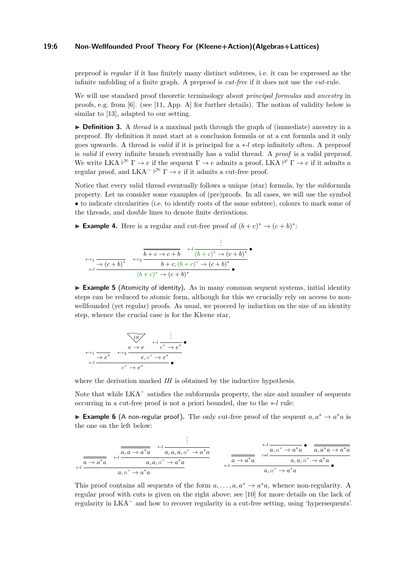## **19:6 Non-Wellfounded Proof Theory For (Kleene+Action)(Algebras+Lattices)**

preproof is *regular* if it has finitely many distinct subtrees, i.e. it can be expressed as the infinite unfolding of a finite graph. A preproof is *cut-free* if it does not use the *cut*-rule.

We will use standard proof theoretic terminology about *principal formulas* and *ancestry* in proofs, e.g. from [\[6\]](#page-16-17). (see [\[11,](#page-16-18) App. A] for further details). The notion of validity below is similar to [\[13\]](#page-16-13), adapted to our setting.

▶ **Definition 3.** A *thread* is a maximal path through the graph of (immediate) ancestry in a preproof. By definition it must start at a conclusion formula or at a cut formula and it only goes upwards. A thread is *valid* if it is principal for a ∗-*l* step infinitely often. A preproof is *valid* if every infinite branch eventually has a valid thread. A *proof* is a valid preproof. We write LKA  $\vdash^{\infty} \Gamma \to e$  if the sequent  $\Gamma \to e$  admits a proof, LKA  $\vdash^{\omega} \Gamma \to e$  if it admits a regular proof, and  $LKA^- \nightharpoonup^{\infty} \Gamma \rightarrow e$  if it admits a cut-free proof.

Notice that every valid thread eventually follows a unique (star) formula, by the subformula property. Let us consider some examples of (pre)proofs. In all cases, we will use the symbol • to indicate circularities (i.e. to identify roots of the same subtree), colours to mark some of the threads, and double lines to denote finite derivations.

<span id="page-5-1"></span>**Example 4.** Here is a regular and cut-free proof of  $(b+c)^* \rightarrow (c+b)^*$ :

$$
\begin{array}{cccc}\n & \vdots & \vdots & \vdots \\
 & \ast \cdot r_1 & \xrightarrow{\ast} (c+b)^* & \ast \cdot r_2 & \xrightarrow{b+c \to c+b} & \ast \cdot l \ (b+c)^* \to (c+b)^* \\
 & \ast \cdot l & \xrightarrow{(b+c)^* \to (c+b)^*} & \bullet & \xrightarrow{(b+c)^* \to (c+b)^*} & \bullet\n\end{array}
$$

► **Example 5** (Atomicity of identity). As in many common sequent systems, initial identity steps can be reduced to atomic form, although for this we crucially rely on access to nonwellfounded (yet regular) proofs. As usual, we proceed by induction on the size of an identity step, whence the crucial case is for the Kleene star,

$$
\begin{array}{ccc}\n & \overrightarrow{IH} & \vdots \\
 & \downarrow \downarrow \downarrow & \\
\ast \cdot r_1 \xrightarrow{\rightarrow} e^* & \ast \cdot r_2 \xrightarrow{e \rightarrow e^* e^* + e^*} e^* \\
 & \downarrow \downarrow & \\
 & e^* \rightarrow e^* & \\
\end{array}
$$

where the derivation marked *IH* is obtained by the inductive hypothesis.

Note that while LKA<sup>−</sup> satisfies the subformula property, the size and number of sequents occurring in a cut-free proof is not a priori bounded, due to the ∗-*l* rule:

<span id="page-5-0"></span>**Example 6** (A non-regular proof). The only cut-free proof of the sequent  $a, a^* \rightarrow a^*a$  is the one on the left below:

$$
\frac{\frac{1}{a+a^*a} \quad \stackrel{a}{\longrightarrow} \frac{1}{a,a \rightarrow a^*a} \quad \stackrel{a}{\longrightarrow} \frac{1}{a,a,a,a^* \rightarrow a^*a}}{a,a^* \rightarrow a^*a} \qquad \qquad \frac{\frac{1}{a+a^*a} \quad \stackrel{a}{\longrightarrow} \frac{1}{a^*a \rightarrow a^*a} \quad \stackrel{a}{\longrightarrow} \frac{1}{a,a^* \rightarrow a^*a} \quad \frac{1}{a,a^* \rightarrow a^*a} \quad \frac{1}{a,a^* \rightarrow a^*a} \quad \frac{1}{a,a^* \rightarrow a^*a} \quad \frac{1}{a,a^* \rightarrow a^*a} \quad \frac{1}{a,a^* \rightarrow a^*a} \quad \frac{1}{a,a^* \rightarrow a^*a} \quad \frac{1}{a,a^* \rightarrow a^*a} \quad \frac{1}{a,a^* \rightarrow a^*a} \quad \frac{1}{a,a^* \rightarrow a^*a} \quad \frac{1}{a,a^* \rightarrow a^*a} \quad \frac{1}{a,a^* \rightarrow a^*a} \quad \frac{1}{a,a^* \rightarrow a^*a} \quad \frac{1}{a,a^* \rightarrow a^*a} \quad \frac{1}{a,a^* \rightarrow a^*a} \quad \frac{1}{a,a^* \rightarrow a^*a} \quad \frac{1}{a,a^* \rightarrow a^*a} \quad \frac{1}{a,a^* \rightarrow a^*a} \quad \frac{1}{a,a^* \rightarrow a^*a} \quad \frac{1}{a,a^* \rightarrow a^*a} \quad \frac{1}{a,a^* \rightarrow a^*a} \quad \frac{1}{a,a^* \rightarrow a^*a} \quad \frac{1}{a,a^* \rightarrow a^*a} \quad \frac{1}{a,a^* \rightarrow a^*a} \quad \frac{1}{a,a^* \rightarrow a^*a} \quad \frac{1}{a,a^* \rightarrow a^*a} \quad \frac{1}{a,a^* \rightarrow a^*a} \quad \frac{1}{a,a^* \rightarrow a^*a} \quad \frac{1}{a,a^* \rightarrow a^*a} \quad \frac{1}{a,a^* \rightarrow a^*a} \quad \frac{1}{a,a^* \rightarrow a^*a} \quad \frac{1}{a,a^* \rightarrow a^*a} \quad \frac{1}{a,a^* \rightarrow a^*a} \quad \frac{1}{a,a^* \rightarrow a^*a} \quad \frac{1}{a,a^* \rightarrow a
$$

This proof contains all sequents of the form  $a, \ldots, a, a^* \to a^*a$ , whence non-regularity. A regular proof with cuts is given on the right above; see [\[10\]](#page-16-11) for more details on the lack of regularity in LKA<sup>−</sup> and how to recover regularity in a cut-free setting, using 'hypersequents'.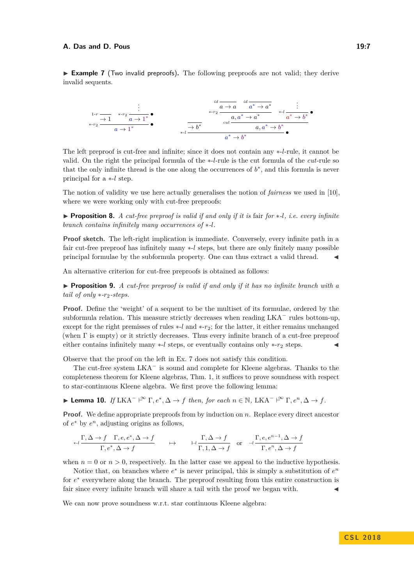#### **A. Das and D. Pous 19:7**

<span id="page-6-0"></span>► **Example 7** (Two invalid preproofs). The following preproofs are not valid; they derive invalid sequents.

1-*r* → 1 *. . .* <sup>∗</sup>-*r*<sup>2</sup> • *a* → 1 ∗ <sup>∗</sup>-*r*<sup>2</sup> • *a* → 1 <sup>∗</sup> → *b* ∗ *id a* → *a id a* <sup>∗</sup> → *a* ∗ ∗-*r*2 *a, a* <sup>∗</sup> → *a* ∗ *. . .* <sup>∗</sup>-*<sup>l</sup>* • *a* <sup>∗</sup> → *b* ∗ *cut a, a* <sup>∗</sup> → *b* ∗ <sup>∗</sup>-*<sup>l</sup>* • *a* <sup>∗</sup> → *b* ∗

The left preproof is cut-free and infinite; since it does not contain any ∗-*l*-rule, it cannot be valid. On the right the principal formula of the ∗-*l*-rule is the cut formula of the *cut*-rule so that the only infinite thread is the one along the occurrences of  $b^*$ , and this formula is never principal for a ∗-*l* step.

The notion of validity we use here actually generalises the notion of *fairness* we used in [\[10\]](#page-16-11), where we were working only with cut-free preproofs:

I **Proposition 8.** *A cut-free preproof is valid if and only if it is* fair *for* ∗*-l, i.e. every infinite branch contains infinitely many occurrences of* ∗*-l.*

**Proof sketch.** The left-right implication is immediate. Conversely, every infinite path in a fair cut-free preproof has infinitely many ∗-*l* steps, but there are only finitely many possible principal formulae by the subformula property. One can thus extract a valid thread. J

An alternative criterion for cut-free preproofs is obtained as follows:

<span id="page-6-1"></span>I **Proposition 9.** *A cut-free preproof is valid if and only if it has no infinite branch with a tail of only* ∗*-r*2*-steps.*

**Proof.** Define the 'weight' of a sequent to be the multiset of its formulae, ordered by the subformula relation. This measure strictly decreases when reading  $LKA<sup>-</sup>$  rules bottom-up, except for the right premisses of rules ∗-*l* and ∗-*r*2; for the latter, it either remains unchanged (when Γ is empty) or it strictly decreases. Thus every infinite branch of a cut-free preproof either contains infinitely many ∗-*l* steps, or eventually contains only ∗-r<sub>2</sub> steps.  $\blacksquare$ 

Observe that the proof on the left in Ex. [7](#page-6-0) does not satisfy this condition.

The cut-free system LKA<sup>−</sup> is sound and complete for Kleene algebras. Thanks to the completeness theorem for Kleene algebras, Thm. [1,](#page-3-0) it suffices to prove soundness with respect to star-continuous Kleene algebra. We first prove the following lemma:

<span id="page-6-2"></span>► Lemma 10. *If* LKA<sup>-</sup>  $\vdash^{\infty} \Gamma, e^*, \Delta \to f$  then, for each  $n \in \mathbb{N}$ , LKA<sup>-</sup>  $\vdash^{\infty} \Gamma, e^n, \Delta \to f$ .

**Proof.** We define appropriate preproofs from by induction on *n*. Replace every direct ancestor of  $e^*$  by  $e^n$ , adjusting origins as follows,

$$
\xrightarrow{\Gamma, \Delta \to f \quad \Gamma, e, e^*, \Delta \to f} \qquad \mapsto \qquad \xrightarrow{1-l} \xrightarrow{\Gamma, \Delta \to f} \quad \text{or} \quad \xrightarrow{-l} \xrightarrow{\Gamma, e, e^{n-1}, \Delta \to f} \xrightarrow{\Gamma, e^*, \Delta \to f}
$$

when  $n = 0$  or  $n > 0$ , respectively. In the latter case we appeal to the inductive hypothesis.

Notice that, on branches where  $e^*$  is never principal, this is simply a substitution of  $e^n$ for  $e^*$  everywhere along the branch. The preproof resulting from this entire construction is fair since every infinite branch will share a tail with the proof we began with.

We can now prove soundness w.r.t. star continuous Kleene algebra: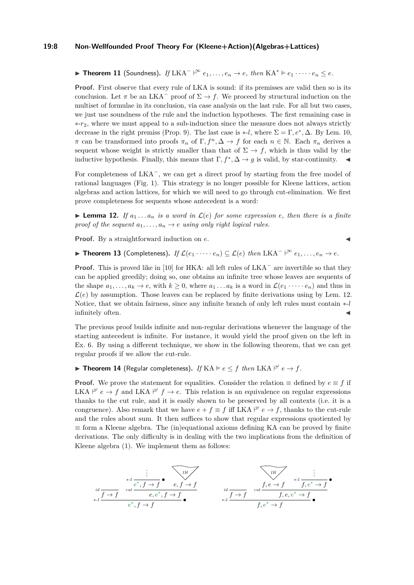#### **19:8 Non-Wellfounded Proof Theory For (Kleene+Action)(Algebras+Lattices)**

<span id="page-7-2"></span>▶ Theorem 11 (Soundness). *If* LKA<sup>-</sup>  $\upharpoonright^{\infty} e_1, \ldots, e_n \to e$ , then KA<sup>\*</sup>  $\models e_1 \cdots \cdots e_n ≤ e$ .

**Proof.** First observe that every rule of LKA is sound: if its premisses are valid then so is its conclusion. Let  $\pi$  be an LKA<sup>-</sup> proof of  $\Sigma \to f$ . We proceed by structural induction on the multiset of formulae in its conclusion, via case analysis on the last rule. For all but two cases, we just use soundness of the rule and the induction hypotheses. The first remaining case is ∗-*r*2, where we must appeal to a sub-induction since the measure does not always strictly decrease in the right premiss (Prop. [9\)](#page-6-1). The last case is  $*$ -*l*, where  $\Sigma = \Gamma, e^*, \Delta$ . By Lem. [10,](#page-6-2) *π* can be transformed into proofs  $\pi_n$  of  $\Gamma, f^n, \Delta \to f$  for each  $n \in \mathbb{N}$ . Each  $\pi_n$  derives a sequent whose weight is strictly smaller than that of  $\Sigma \to f$ , which is thus valid by the inductive hypothesis. Finally, this means that  $\Gamma, f^*, \Delta \to g$  is valid, by star-continuity.

For completeness of LKA<sup>−</sup>, we can get a direct proof by starting from the free model of rational languages (Fig. [1\)](#page-1-0). This strategy is no longer possible for Kleene lattices, action algebras and action lattices, for which we will need to go through cut-elimination. We first prove completeness for sequents whose antecedent is a word:

<span id="page-7-3"></span>**Lemma 12.** If  $a_1 \ldots a_n$  is a word in  $\mathcal{L}(e)$  for some expression e, then there is a finite *proof of the sequent*  $a_1, \ldots, a_n \rightarrow e$  *using only right logical rules.* 

**Proof.** By a straightforward induction on *e*.

<span id="page-7-1"></span>▶ Theorem 13 (Completeness). *If*  $\mathcal{L}(e_1 \cdot \cdots \cdot e_n) \subseteq \mathcal{L}(e)$  *then* LKA<sup>-</sup>  $\vdash^{\infty} e_1, \ldots, e_n \to e$ .

**Proof.** This is proved like in [\[10\]](#page-16-11) for HKA: all left rules of LKA<sup>−</sup> are invertible so that they can be applied greedily; doing so, one obtains an infinite tree whose leaves are sequents of the shape  $a_1, \ldots, a_k \to e$ , with  $k \geq 0$ , where  $a_1 \ldots a_k$  is a word in  $\mathcal{L}(e_1 \cdots e_n)$  and thus in  $\mathcal{L}(e)$  by assumption. Those leaves can be replaced by finite derivations using by Lem. [12.](#page-7-3) Notice, that we obtain fairness, since any infinite branch of only left rules must contain ∗-*l* infinitely often.

The previous proof builds infinite and non-regular derivations whenever the language of the starting antecedent is infinite. For instance, it would yield the proof given on the left in Ex. [6.](#page-5-0) By using a different technique, we show in the following theorem, that we can get regular proofs if we allow the cut-rule.

<span id="page-7-0"></span>**IF Theorem 14** (Regular completeness). *If*  $KA \models e \leq f$  *then*  $LKA \not\vdash^{\omega} e \rightarrow f$ .

**Proof.** We prove the statement for equalities. Consider the relation  $\equiv$  defined by  $e \equiv f$  if LKA  $\stackrel{\omega}{\vdash}$   $e \to f$  and LKA  $\stackrel{\omega}{\vdash} f \to e$ . This relation is an equivalence on regular expressions thanks to the cut rule, and it is easily shown to be preserved by all contexts (i.e. it is a congruence). Also remark that we have  $e + f \equiv f$  iff LKA  $\stackrel{\omega}{\vdash} e \to f$ , thanks to the cut-rule and the rules about sum. It then suffices to show that regular expressions quotiented by  $\equiv$  form a Kleene algebra. The (in)equational axioms defining KA can be proved by finite derivations. The only difficulty is in dealing with the two implications from the definition of Kleene algebra [\(1\)](#page-3-1). We implement them as follows:

*id f* → *f . . .* <sup>∗</sup>-*<sup>l</sup>* • *e* ∗ *, f* → *f IH e, f* → *f cut e, e* ∗ *, f* → *f* <sup>∗</sup>-*<sup>l</sup>* • *e* ∗ *, f* → *f id f* → *f IH f, e* → *f . . .* <sup>∗</sup>-*<sup>l</sup>* • *f, e* <sup>∗</sup> → *f cut f, e, e* <sup>∗</sup> → *f* <sup>∗</sup>-*<sup>l</sup>* • *f, e* <sup>∗</sup> → *f*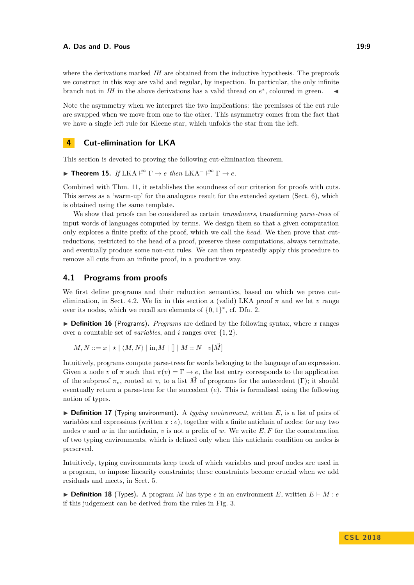where the derivations marked *IH* are obtained from the inductive hypothesis. The preproofs we construct in this way are valid and regular, by inspection. In particular, the only infinite branch not in *IH* in the above derivations has a valid thread on  $e^*$ , coloured in green.

Note the asymmetry when we interpret the two implications: the premisses of the cut rule are swapped when we move from one to the other. This asymmetry comes from the fact that we have a single left rule for Kleene star, which unfolds the star from the left.

# <span id="page-8-1"></span>**4 Cut-elimination for LKA**

This section is devoted to proving the following cut-elimination theorem.

<span id="page-8-0"></span>► **Theorem 15.** *If* LKA  $\vdash^{\infty} \Gamma \rightarrow e$  *then* LKA<sup>-</sup>  $\vdash^{\infty} \Gamma \rightarrow e$ *.* 

Combined with Thm. [11,](#page-7-2) it establishes the soundness of our criterion for proofs with cuts. This serves as a 'warm-up' for the analogous result for the extended system (Sect. [6\)](#page-13-2), which is obtained using the same template.

We show that proofs can be considered as certain *transducers*, transforming *parse-trees* of input words of languages computed by terms. We design them so that a given computation only explores a finite prefix of the proof, which we call the *head*. We then prove that cutreductions, restricted to the head of a proof, preserve these computations, always terminate, and eventually produce some non-cut rules. We can then repeatedly apply this procedure to remove all cuts from an infinite proof, in a productive way.

## **4.1 Programs from proofs**

We first define programs and their reduction semantics, based on which we prove cut-elimination, in Sect. [4.2.](#page-10-0) We fix in this section a (valid) LKA proof  $\pi$  and we let  $\nu$  range over its nodes, which we recall are elements of  $\{0,1\}^*$ , cf. Dfn. [2.](#page-4-1)

<span id="page-8-2"></span> $\triangleright$  **Definition 16** (Programs). *Programs* are defined by the following syntax, where *x* ranges over a countable set of *variables*, and *i* ranges over {1*,* 2}.

 $M, N ::= x | * | \langle M, N \rangle | \text{in}_i M | [] | M :: N | v | \vec{M} |$ 

Intuitively, programs compute parse-trees for words belonging to the language of an expression. Given a node *v* of  $\pi$  such that  $\pi(v) = \Gamma \to e$ , the last entry corresponds to the application of the subproof  $\pi_v$ , rooted at *v*, to a list  $\vec{M}$  of programs for the antecedent (Γ); it should eventually return a parse-tree for the succedent (*e*). This is formalised using the following notion of types.

 $\triangleright$  **Definition 17** (Typing environment). A *typing environment*, written E, is a list of pairs of variables and expressions (written *x* : *e*), together with a finite antichain of nodes: for any two nodes *v* and *w* in the antichain, *v* is not a prefix of *w*. We write  $E, F$  for the concatenation of two typing environments, which is defined only when this antichain condition on nodes is preserved.

Intuitively, typing environments keep track of which variables and proof nodes are used in a program, to impose linearity constraints; these constraints become crucial when we add residuals and meets, in Sect. [5.](#page-12-2)

 $\triangleright$  **Definition 18** (Types). A program *M* has type *e* in an environment *E*, written  $E \vdash M : e$ if this judgement can be derived from the rules in Fig. [3.](#page-9-0)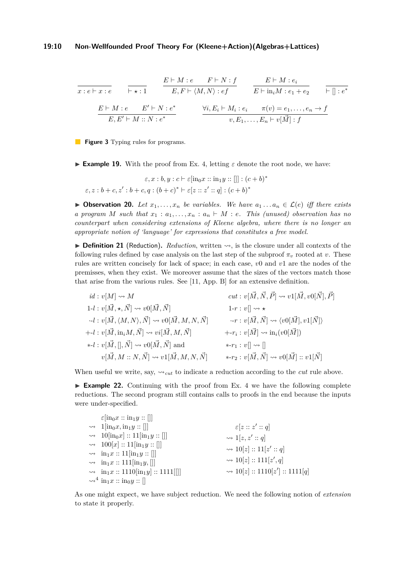<span id="page-9-0"></span>
$$
\frac{E \vdash M : e \qquad F \vdash N : f}{E, F \vdash \langle M, N \rangle : e f} \qquad \frac{E \vdash M : e_i}{E \vdash \text{in}_i M : e_1 + e_2} \qquad \overline{\vdash} \text{ } \text{ } \mid : e^*}
$$
\n
$$
\frac{E \vdash M : e \qquad E' \vdash N : e^*}{E, E' \vdash M : N : e^*} \qquad \qquad \frac{\forall i, E_i \vdash M_i : e_i \qquad \pi(v) = e_1, \dots, e_n \to f}{v, E_1, \dots, E_n \vdash v[\vec{M}] : f}
$$

**Figure 3** Typing rules for programs.

**Example 19.** With the proof from Ex. [4,](#page-5-1) letting  $\varepsilon$  denote the root node, we have:

 $\varepsilon, x : b, y : c \vdash \varepsilon[\text{in}_0 x :: \text{in}_1 y :: []] : (c + b)^*$  $\varepsilon, z : b + c, z' : b + c, q : (b + c)^* \vdash \varepsilon[z :: z' :: q] : (c + b)^*$ 

▶ **Observation 20.** *Let*  $x_1, \ldots, x_n$  *be variables. We have*  $a_1 \ldots a_n \in \mathcal{L}(e)$  *iff there exists a program M* such that  $x_1 : a_1, \ldots, x_n : a_n \vdash M : e$ . This (unused) observation has no *counterpart when considering extensions of Kleene algebra, where there is no longer an appropriate notion of 'language' for expressions that constitutes a free model.*

<span id="page-9-2"></span> $\triangleright$  **Definition 21** (Reduction). *Reduction*, written  $\rightsquigarrow$ , is the closure under all contexts of the following rules defined by case analysis on the last step of the subproof  $\pi_v$  rooted at *v*. These rules are written concisely for lack of space; in each case, *v*0 and *v*1 are the nodes of the premisses, when they exist. We moreover assume that the sizes of the vectors match those that arise from the various rules. See [\[11,](#page-16-18) App. B] for an extensive definition.

*id* :  $v[M] \rightsquigarrow M$ <br> *cut* :  $v[\vec{M}, \vec{N}, \vec{P}] \rightsquigarrow v1[\vec{M}, v0[\vec{N}], \vec{P}]$ <br>
1-*t* :  $v[\vec{M}, \star, \vec{N}] \rightsquigarrow v0[\vec{M}, \vec{N}]$ <br>
1-*r* :  $v[] \rightsquigarrow \star$  $\begin{aligned} 1\hbox{-} l &: v[\vec{M},\star,\vec{N}] \leadsto v0[\vec{M},\vec{N}] \\ \hbox{-} l &: v[\vec{M},\langle M,N\rangle,\vec{N}] \leadsto v0[\vec{M},M,N,\vec{N}] \end{aligned} \qquad \begin{aligned} 1\hbox{-} r &: v[] \leadsto \star \\ \hbox{-} r &: v[\vec{M},\vec{N}] \leadsto \langle v0[\vec{M}],v1[\vec{N}] \rangle \end{aligned}$  $\cdot$ *-l* :  $v[\vec{M}, \langle M, N \rangle, \vec{N}] \rightsquigarrow v0[\vec{M}, M, N, \vec{N}]$  $+ -l : v[\vec{M}, \text{in}_i M, \vec{N}] \rightsquigarrow v i[\vec{M}, M, \vec{N}]$  +- $r_i : v[\vec{M}] \rightsquigarrow \text{in}_i(v0[\vec{M}])$  $*$ - $l : v[\vec{M},[],\vec{N}] \rightsquigarrow v0[\vec{M}, \vec{N}]$  and  $*$ - $r_1 : v[] \rightsquigarrow []$  $v[\vec{M}, M::N, \vec{N}] \rightsquigarrow v1[\vec{M}, M, N, \vec{N}] \longrightarrow *r_2 : v[\vec{M}, \vec{N}] \rightsquigarrow v0[\vec{M}] :: v1[\vec{N}]$ 

When useful we write, say,  $\sim_{\text{cut}}$  to indicate a reduction according to the *cut* rule above.

<span id="page-9-1"></span> $\triangleright$  **Example 22.** Continuing with the proof from Ex. [4](#page-5-1) we have the following complete reductions. The second program still contains calls to proofs in the end because the inputs were under-specified.

| $\varepsilon$ [in <sub>0</sub> $x::$ in <sub>1</sub> $y::$ ]]       |                                                 |
|---------------------------------------------------------------------|-------------------------------------------------|
| $\rightarrow 1$ [in <sub>0</sub> x, in <sub>1</sub> y :: []]        | $\epsilon[z::z':q]$                             |
| $\rightarrow 10$ [in <sub>0</sub> x] :: 11[in <sub>1</sub> y :: []] | $\rightsquigarrow$ 1[z, z' :: q]                |
| $\rightarrow 100[x] :: 11[\text{in}_1 y :: []]$                     | → $10[z] :: 11[z' :: q]$                        |
| $\rightarrow \text{in}_1 x :: 11[\text{in}_1 y :: []]$              |                                                 |
| $\rightarrow \text{in}_1 x :: 111[\text{in}_1 y, []]$               | → $10[z] :: 111[z', q]$                         |
| $\rightarrow \text{in}_1 x :: 1110[\text{in}_1 y] :: 1111[[$        | $\rightsquigarrow 10[z] :: 1110[z'] :: 1111[q]$ |
| $\rightsquigarrow^4$ in <sub>1</sub> x :: in <sub>0</sub> y :: []   |                                                 |

As one might expect, we have subject reduction. We need the following notion of *extension* to state it properly.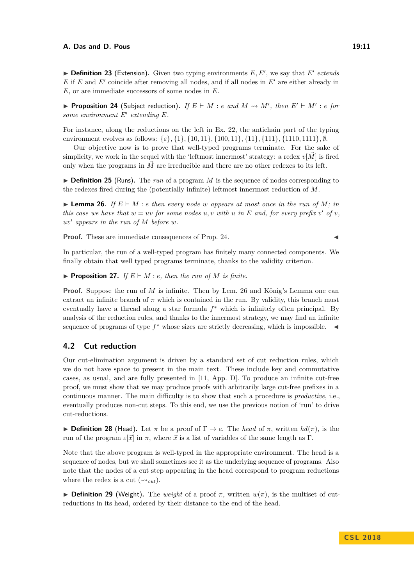<span id="page-10-3"></span> $\blacktriangleright$  **Definition 23** (Extension). Given two typing environments  $E, E'$ , we say that  $E'$  extends  $E$  if  $E$  and  $E'$  coincide after removing all nodes, and if all nodes in  $E'$  are either already in *E*, or are immediate successors of some nodes in *E*.

<span id="page-10-1"></span>**Proposition 24** (Subject reduction). If  $E \vdash M : e$  and  $M \rightsquigarrow M'$ , then  $E' \vdash M' : e$  for some environment  $E'$  extending  $E$ .

For instance, along the reductions on the left in Ex. [22,](#page-9-1) the antichain part of the typing environment evolves as follows: {*ε*}*,* {1}*,* {10*,* 11}*,* {100*,* 11}*,* {11}*,* {111}*,* {1110*,* 1111}*,* ∅.

Our objective now is to prove that well-typed programs terminate. For the sake of simplicity, we work in the sequel with the 'leftmost innermost' strategy: a redex  $v[\vec{M}]$  is fired only when the programs in  $\vec{M}$  are irreducible and there are no other redexes to its left.

 $\triangleright$  **Definition 25** (Runs). The *run* of a program *M* is the sequence of nodes corresponding to the redexes fired during the (potentially infinite) leftmost innermost reduction of *M*.

<span id="page-10-2"></span>**Example 26.** *If*  $E \vdash M : e$  *then every node w appears at most once in the run of*  $M : in$ *this case we have that*  $w = uv$  *for some nodes*  $u, v$  *with*  $u$  *in*  $E$  *and, for every prefix*  $v'$  *of*  $v$ *,*  $uv'$  appears in the run of  $M$  before  $w$ .

**Proof.** These are immediate consequences of Prop. [24.](#page-10-1)

In particular, the run of a well-typed program has finitely many connected components. We finally obtain that well typed programs terminate, thanks to the validity criterion.

<span id="page-10-4"></span>**Proposition 27.** *If*  $E \vdash M : e$ *, then the run of M is finite.* 

**Proof.** Suppose the run of *M* is infinite. Then by Lem. [26](#page-10-2) and König's Lemma one can extract an infinite branch of  $\pi$  which is contained in the run. By validity, this branch must eventually have a thread along a star formula *f* <sup>∗</sup> which is infinitely often principal. By analysis of the reduction rules, and thanks to the innermost strategy, we may find an infinite sequence of programs of type  $f^*$  whose sizes are strictly decreasing, which is impossible.  $\blacktriangleleft$ 

# <span id="page-10-0"></span>**4.2 Cut reduction**

Our cut-elimination argument is driven by a standard set of cut reduction rules, which we do not have space to present in the main text. These include key and commutative cases, as usual, and are fully presented in [\[11,](#page-16-18) App. D]. To produce an infinite cut-free proof, we must show that we may produce proofs with arbitrarily large cut-free prefixes in a continuous manner. The main difficulty is to show that such a procedure is *productive*, i.e., eventually produces non-cut steps. To this end, we use the previous notion of 'run' to drive cut-reductions.

**Definition 28** (Head). Let  $\pi$  be a proof of  $\Gamma \to e$ . The *head* of  $\pi$ , written  $hd(\pi)$ , is the run of the program  $\varepsilon[\vec{x}]$  in  $\pi$ , where  $\vec{x}$  is a list of variables of the same length as Γ.

Note that the above program is well-typed in the appropriate environment. The head is a sequence of nodes, but we shall sometimes see it as the underlying sequence of programs. Also note that the nodes of a cut step appearing in the head correspond to program reductions where the redex is a cut  $(\leadsto_{cut})$ .

**Definition 29** (Weight). The *weight* of a proof  $\pi$ , written  $w(\pi)$ , is the multiset of cutreductions in its head, ordered by their distance to the end of the head.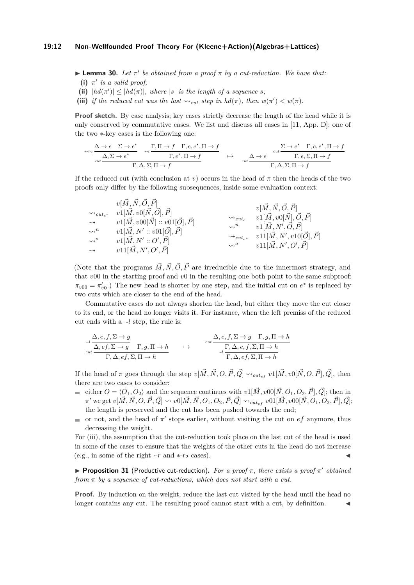#### **19:12 Non-Wellfounded Proof Theory For (Kleene+Action)(Algebras+Lattices)**

<span id="page-11-2"></span>**Lemma 30.** Let  $\pi'$  be obtained from a proof  $\pi$  by a cut-reduction. We have that:

- (i)  $\pi'$  *is a valid proof;*
- (ii)  $|h d(\pi')| \leq |hd(\pi)|$ , where  $|s|$  *is the length of a sequence s*;
- <span id="page-11-0"></span>(iii) *if the reduced cut was the last*  $\rightsquigarrow_{cut}$  *step in*  $hd(\pi)$ *, then*  $w(\pi') < w(\pi)$ *.*

**Proof sketch.** By case analysis; key cases strictly decrease the length of the head while it is only conserved by commutative cases. We list and discuss all cases in [\[11,](#page-16-18) App. D]; one of the two ∗-key cases is the following one:

$$
\begin{array}{ccccccccc}\n\ast\cdot r_2 & \Delta \to e & \Sigma \to e^* & \Gamma, \Pi \to f & \Gamma, e, e^*, \Pi \to f & \\
\hline\n\frac{\Delta, \Sigma \to e^* & \pi \to f & \Gamma, e^*, \Pi \to f}{\Gamma, e^*, \Pi \to f} & \mapsto & \frac{\Delta \to e & \frac{\Sigma \to e^* & \Gamma, e, e^*, \Pi \to f}{\Gamma, e, \Sigma, \Pi \to f} \\
\hline\n\frac{\Delta, \Sigma \to e^* & \Gamma, \Delta, \Sigma, \Pi \to f & \Gamma, e^*, \Pi \to f} & & & \\
\end{array}
$$

If the reduced cut (with conclusion at *v*) occurs in the head of  $\pi$  then the heads of the two proofs only differ by the following subsequences, inside some evaluation context:

$$
\begin{array}{ccc}\nv[\vec{M}, \vec{N}, \vec{O}, \vec{P}] & v[\vec{M}, \vec{N}, \vec{O}, \vec{P}] \\
\leadsto & v1[\vec{M}, v0[\vec{N}, \vec{O}], \vec{P}] & \leadsto & v1[\vec{M}, v0[\vec{N}], \vec{O}, \vec{P}] \\
\leadsto & v1[\vec{M}, N': v01[\vec{O}], \vec{P}] & \leadsto & v1[\vec{M}, N', \vec{O}, \vec{P}] \\
\leadsto & v1[\vec{M}, N': v01[\vec{O}], \vec{P}] & \leadsto & v1[\vec{M}, N', \vec{O}, \vec{P}] \\
\leadsto & v1[\vec{M}, N': \vec{O}, \vec{P}] & \leadsto & v11[\vec{M}, N', v10[\vec{O}], \vec{P}] \\
\leadsto & v11[\vec{M}, N', \vec{O}, \vec{P}] & \leadsto & v11[\vec{M}, N', \vec{O}, \vec{P}]\n\end{array}
$$

(Note that the programs  $\vec{M}, \vec{N}, \vec{O}, \vec{P}$  are irreducible due to the innermost strategy, and that *v*00 in the starting proof and *v*0 in the resulting one both point to the same subproof:  $\pi_{v00} = \pi'_{v0}$ .) The new head is shorter by one step, and the initial cut on  $e^*$  is replaced by two cuts which are closer to the end of the head.

Commutative cases do not always shorten the head, but either they move the cut closer to its end, or the head no longer visits it. For instance, when the left premiss of the reduced cut ends with a ·-*l* step, the rule is:

$$
\begin{array}{ccc}\n\frac{\Delta,e,f,\Sigma\rightarrow g}{\Delta,e,f,\Sigma\rightarrow g}&\Gamma,g,\Pi\rightarrow h\\
\frac{\Delta,e,f,\Sigma\rightarrow g}{\Gamma,\Delta,e,f,\Sigma,\Pi\rightarrow h}&\mapsto&\frac{\Delta,e,f,\Sigma\rightarrow g&\Gamma,g,\Pi\rightarrow h}{\Gamma,\Delta,e,f,\Sigma,\Pi\rightarrow h}\\
\frac{\Gamma,\Delta,e,f,\Sigma,\Pi\rightarrow h}{\Gamma,\Delta,e,f,\Sigma,\Pi\rightarrow h}\n\end{array}
$$

If the head of  $\pi$  goes through the step  $v[\vec{M}, \vec{N}, O, \vec{P}, \vec{Q}] \leadsto_{cut_{ef}} v1[\vec{M}, v0[\vec{N}, O, \vec{P}], \vec{Q}]$ , then there are two cases to consider:

- either  $O = \langle O_1, O_2 \rangle$  and the sequence continues with  $v1[\vec{M}, v00[\vec{N}, O_1, O_2, \vec{P}], \vec{Q}]$ ; then in  $\pi'$  we get  $v[\vec{M},\vec{N},O,\vec{P},\vec{Q}] \leadsto v0[\vec{M},\vec{N},O_1,O_2,\vec{P},\vec{Q}] \leadsto_{cut_{ef}} v01[\vec{M},v00[\vec{N},O_1,O_2,\vec{P}],\vec{Q}];$ the length is preserved and the cut has been pushed towards the end;
- or not, and the head of  $\pi'$  stops earlier, without visiting the cut on  $ef$  anymore, thus m. decreasing the weight.

For [\(iii\)](#page-11-0), the assumption that the cut-reduction took place on the last cut of the head is used in some of the cases to ensure that the weights of the other cuts in the head do not increase (e.g., in some of the right  $-r$  and  $\overline{*}$ - $r_2$  cases).

<span id="page-11-1"></span>**Proposition 31** (Productive cut-reduction). For a proof  $\pi$ , there exists a proof  $\pi'$  obtained *from π by a sequence of cut-reductions, which does not start with a cut.*

**Proof.** By induction on the weight, reduce the last cut visited by the head until the head no longer contains any cut. The resulting proof cannot start with a cut, by definition.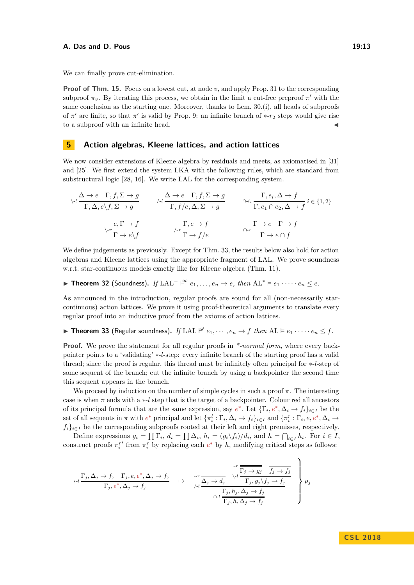We can finally prove cut-elimination.

**Proof of Thm. [15.](#page-8-0)** Focus on a lowest cut, at node *v*, and apply Prop. [31](#page-11-1) to the corresponding subproof  $\pi_v$ . By iterating this process, we obtain in the limit a cut-free preproof  $\pi'$  with the same conclusion as the starting one. Moreover, thanks to Lem. [30.](#page-11-2)(i), all heads of subproofs of  $\pi'$  are finite, so that  $\pi'$  is valid by Prop. [9:](#page-6-1) an infinite branch of \*- $r_2$  steps would give rise to a subproof with an infinite head.  $\blacksquare$ 

# <span id="page-12-2"></span>**5 Action algebras, Kleene lattices, and action lattices**

We now consider extensions of Kleene algebra by residuals and meets, as axiomatised in [\[31\]](#page-17-3) and [\[25\]](#page-17-4). We first extend the system LKA with the following rules, which are standard from substructural logic [\[28,](#page-17-8) [16\]](#page-16-19). We write LAL for the corresponding system.

$$
\sqrt{A} \frac{\Delta + e \Gamma, f, \Sigma \to g}{\Gamma, \Delta, e \setminus f, \Sigma \to g} \qquad \sqrt{A} \frac{\Delta + e \Gamma, f, \Sigma \to g}{\Gamma, f/e, \Delta, \Sigma \to g} \qquad \frac{\Gamma, e_i, \Delta \to f}{\Gamma, e_1 \cap e_2, \Delta \to f} i \in \{1, 2\}
$$
\n
$$
\sqrt{A} \frac{e, \Gamma \to f}{\Gamma \to e \setminus f} \qquad \sqrt{A} \frac{\Gamma, e \to f}{\Gamma \to f/e} \qquad \frac{\Gamma \to e \Gamma \to f}{\Gamma \to e \cap f}
$$

We define judgements as previously. Except for Thm. [33,](#page-12-0) the results below also hold for action algebras and Kleene lattices using the appropriate fragment of LAL. We prove soundness w.r.t. star-continuous models exactly like for Kleene algebra (Thm. [11\)](#page-7-2).

<span id="page-12-1"></span>▶ **Theorem 32** (Soundness). *If* LAL<sup>-</sup>  $\upharpoonright^{\infty} e_1, \ldots, e_n \to e$ , then AL<sup>\*</sup>  $\models e_1 \cdots \cdots e_n ≤ e$ .

As announced in the introduction, regular proofs are sound for all (non-necessarily starcontinuous) action lattices. We prove it using proof-theoretical arguments to translate every regular proof into an inductive proof from the axioms of action lattices.

<span id="page-12-0"></span>**Fineorem 33** (Regular soundness). *If* LAL  $\stackrel{\omega}{\sim} e_1, \cdots, e_n \to f$  *then*  $AL \vDash e_1 \cdots \cdots e_n \leq f$ .

**Proof.** We prove the statement for all regular proofs in *\*-normal form*, where every backpointer points to a 'validating' ∗-*l*-step: every infinite branch of the starting proof has a valid thread; since the proof is regular, this thread must be infinitely often principal for ∗-*l*-step of some sequent of the branch; cut the infinite branch by using a backpointer the second time this sequent appears in the branch.

We proceed by induction on the number of simple cycles in such a proof  $\pi$ . The interesting case is when *π* ends with a ∗-*l* step that is the target of a backpointer. Colour red all ancestors of its principal formula that are the same expression, say  $e^*$ . Let  $\{\Gamma_i, e^*, \Delta_i \to f_i\}_{i \in I}$  be the set of all sequents in  $\pi$  with  $e^*$  principal and let  $\{\pi_i^l : \Gamma_i, \Delta_i \to f_i\}_{i \in I}$  and  $\{\pi_i^r : \Gamma_i, e, e^*, \Delta_i \to f_i\}_{i \in I}$  $f_i\}_{i\in I}$  be the corresponding subproofs rooted at their left and right premisses, respectively.

Define expressions  $g_i = \prod \Gamma_i$ ,  $d_i = \prod \Delta_i$ ,  $h_i = (g_i \backslash f_i)/d_i$ , and  $h = \bigcap_{i \in I} h_i$ . For  $i \in I$ , construct proofs  $\pi_i^r$  from  $\pi_i^r$  by replacing each  $e^*$  by *h*, modifying critical steps as follows:

$$
\begin{array}{ccccccccc}\n\sqrt{1-j,\Delta_j\rightarrow f_j & \Gamma_j,e,e^*,\Delta_j\rightarrow f_j & & & & \sqrt{1-j,\Delta_j\rightarrow f_j} & \sqrt{1-j,\Delta_j\rightarrow f_j} \\
\hline\n\Gamma_j,e^*,\Delta_j\rightarrow f_j & & & & & \sqrt{1-j,\Delta_j\rightarrow d_j} & \sqrt{1-j,\Delta_j\rightarrow f_j} & \Gamma_j,g_j\backslash f_j\rightarrow f_j & & & & \\
& & & & & \sqrt{1-j,\Delta_j\rightarrow f_j} & & & \\
& & & & & & \sqrt{1-j,\Delta_j\rightarrow f_j} & & & \\
& & & & & & \sqrt{1-j,\Delta_j\rightarrow f_j} & & & \\
& & & & & & \sqrt{1-j,\Delta_j\rightarrow f_j} & & & \\
& & & & & & \sqrt{1-j,\Delta_j\rightarrow f_j} & & & \\
& & & & & & \sqrt{1-j,\Delta_j\rightarrow f_j} & & & \\
& & & & & & & \sqrt{1-j,\Delta_j\rightarrow f_j} & & & \\
& & & & & & & \sqrt{1-j,\Delta_j\rightarrow f_j} & & & \\
& & & & & & & \sqrt{1-j,\Delta_j\rightarrow f_j} & & & \\
& & & & & & & \sqrt{1-j,\Delta_j\rightarrow f_j} & & & \\
& & & & & & & \sqrt{1-j,\Delta_j\rightarrow f_j} & & & \\
& & & & & & & \sqrt{1-j,\Delta_j\rightarrow f_j} & & & \\
& & & & & & & \sqrt{1-j,\Delta_j\rightarrow f_j} & & & \\
& & & & & & & \sqrt{1-j,\Delta_j\rightarrow f_j} & & & \\
& & & & & & & \sqrt{1-j,\Delta_j\rightarrow f_j} & & & \\
& & & & & & & \sqrt{1-j,\Delta_j\rightarrow f_j} & & & \\
& & & & & & & \sqrt{1-j,\Delta_j\rightarrow f_j} & & & \\
& & & & & & & \sqrt{1-j,\Delta_j\rightarrow f_j} & & & \\
& & & & & & & \sqrt{1-j,\Delta_j\rightarrow f_j} & & & \\
& & & & & & & \sqrt{1-j,\Delta_j\rightarrow f_j} & & & \\
& & & & & & & \sqrt{1-j,\Delta_j\rightarrow f_j} & & & \\
& & & & & & & \sqrt{1-j,\Delta_j\rightarrow f_j} & & & \\
& & & & & & & \sqrt{1-j,\Delta_j\rightarrow f_j} & & & \\
& & & & & & & \sqrt{1-j,\Delta_j\rightarrow f_j} & & & \\
& & & & & & & \sqrt{1-j,\Delta_j\rightarrow f_j} & & & \\
& & & & & & & \sqrt{1-j,\Delta_j\rightarrow f_j} & & & \\
& & & & &
$$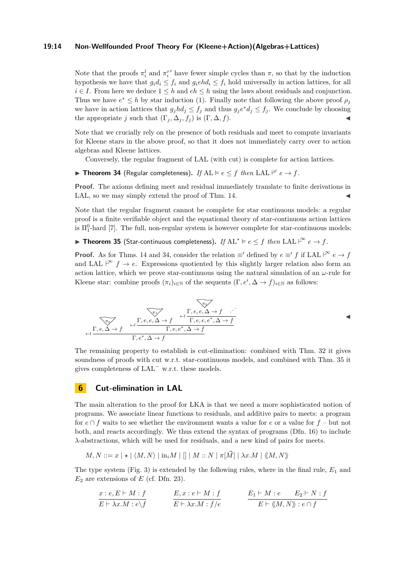#### **19:14 Non-Wellfounded Proof Theory For (Kleene+Action)(Algebras+Lattices)**

Note that the proofs  $\pi_i^l$  and  $\pi_i^{r'}$  have fewer simple cycles than  $\pi$ , so that by the induction hypothesis we have that  $g_i d_i \leq f_i$  and  $g_i e h d_i \leq f_i$  hold universally in action lattices, for all  $i \in I$ . From here we deduce  $1 \leq h$  and  $eh \leq h$  using the laws about residuals and conjunction. Thus we have  $e^* \leq h$  by star induction [\(1\)](#page-3-1). Finally note that following the above proof  $\rho_j$ we have in action lattices that  $g_j h d_j \leq f_j$  and thus  $g_j e^* d_j \leq f_j$ . We conclude by choosing the appropriate *j* such that  $(\Gamma_i, \Delta_j, f_i)$  is  $(\Gamma, \Delta, f)$ .

Note that we crucially rely on the presence of both residuals and meet to compute invariants for Kleene stars in the above proof, so that it does not immediately carry over to action algebras and Kleene lattices.

Conversely, the regular fragment of LAL (with cut) is complete for action lattices.

<span id="page-13-0"></span>**If** AL  $\models$  *e*  $\leq$  *f then* LAL  $\stackrel{\omega}{\leftarrow}$  *e*  $\rightarrow$  *f*.

**Proof.** The axioms defining meet and residual immediately translate to finite derivations in LAL, so we may simply extend the proof of Thm. [14.](#page-7-0)

Note that the regular fragment cannot be complete for star continuous models: a regular proof is a finite verifiable object and the equational theory of star-continuous action lattices is  $\Pi_1^0$ -hard [\[7\]](#page-16-8). The full, non-regular system is however complete for star-continuous models:

<span id="page-13-1"></span>▶ Theorem 35 (Star-continuous completeness). *If*  $AL^* \models e \leq f$  *then*  $LAL \models^{\infty} e \rightarrow f$ .

**Proof.** As for Thms. [14](#page-7-0) and [34,](#page-13-0) consider the relation  $\equiv'$  defined by  $e \equiv' f$  if LAL  $\mid^{\infty} e \rightarrow f$ and LAL  $\vert^{\infty}$   $f \to e$ . Expressions quotiented by this slightly larger relation also form an action lattice, which we prove star-continuous using the natural simulation of an  $\omega$ -rule for Kleene star: combine proofs  $(\pi_i)_{i \in \mathbb{N}}$  of the sequents  $(\Gamma, e^i, \Delta \to f)_{i \in \mathbb{N}}$  as follows:

$$
\begin{array}{cc}\n\sqrt{\pi_{1}} \\
\hline\n\sqrt{r_{0}} \\
\sqrt{r_{1}} \\
\hline\n\frac{1}{r_{1}} & \frac{1}{r_{2}} & \frac{1}{r_{1}} & \frac{1}{r_{2}} & \frac{1}{r_{1}} & \frac{1}{r_{2}} \\
\hline\n\frac{1}{r_{1}} & \frac{1}{r_{2}} & \frac{1}{r_{1}} & \frac{1}{r_{2}} & \frac{1}{r_{2}} \\
\hline\n\frac{1}{r_{1}} & \frac{1}{r_{2}} & \frac{1}{r_{2}} & \frac{1}{r_{2}} & \frac{1}{r_{2}} \\
\hline\n\frac{1}{r_{1}} & \frac{1}{r_{1}} & \frac{1}{r_{2}} & \frac{1}{r_{2}} & \frac{1}{r_{2}} \\
\hline\n\frac{1}{r_{1}} & \frac{1}{r_{2}} & \frac{1}{r_{2}} & \frac{1}{r_{2}} & \frac{1}{r_{2}} & \frac{1}{r_{2}} & \frac{1}{r_{2}} \\
\hline\n\frac{1}{r_{1}} & \frac{1}{r_{2}} & \frac{1}{r_{2}} & \frac{1}{r_{2}} & \frac{1}{r_{2}} & \frac{1}{r_{2}} & \frac{1}{r_{2}} & \frac{1}{r_{2}} \\
\hline\n\frac{1}{r_{1}} & \frac{1}{r_{2}} & \frac{1}{r_{2}} & \frac{1}{r_{2}} & \frac{1}{r_{2}} & \frac{1}{r_{2}} & \frac{1}{r_{2}} & \frac{1}{r_{2}} \\
\hline\n\frac{1}{r_{1}} & \frac{1}{r_{2}} & \frac{1}{r_{2}} & \frac{1}{r_{2}} & \frac{1}{r_{2}} & \frac{1}{r_{2}} & \frac{1}{r_{2}} & \frac{1}{r_{2}} & \frac{1}{r_{2}} & \frac{1}{r_{2}} & \frac{1}{r_{2}} & \frac{1}{r_{2}} & \frac{1}{r_{2}} & \frac{1}{r_{2}} & \frac{1}{r_{2}} & \frac{1}{r_{2}} \\
\hline\n\frac{1}{r_{1}} & \frac{1}{r_{2}} & \frac{1}{r_{2}} & \frac{1}{r_{2}} & \frac{1}{r_{2}} & \frac{1}{r_{2}} & \frac{1}{r_{2}} & \frac{1}{r_{2}} & \frac{1}{r_{2
$$

The remaining property to establish is cut-elimination: combined with Thm. [32](#page-12-1) it gives soundness of proofs with cut w.r.t. star-continuous models, and combined with Thm. [35](#page-13-1) it gives completeness of LAL<sup>−</sup> w.r.t. these models.

## <span id="page-13-2"></span>**6 Cut-elimination in LAL**

The main alteration to the proof for LKA is that we need a more sophisticated notion of programs. We associate linear functions to residuals, and additive pairs to meets: a program for  $e \cap f$  waits to see whether the environment wants a value for  $e$  or a value for  $f$  – but not both, and reacts accordingly. We thus extend the syntax of programs (Dfn. [16\)](#page-8-2) to include *λ*-abstractions, which will be used for residuals, and a new kind of pairs for meets.

$$
M, N ::= x \mid \star \mid \langle M, N \rangle \mid \text{in}_i M \mid [] \mid M :: N \mid \pi[\vec{M}] \mid \lambda x.M \mid \langle \langle M, N \rangle \rangle
$$

The type system (Fig. [3\)](#page-9-0) is extended by the following rules, where in the final rule,  $E_1$  and  $E_2$  are extensions of  $E$  (cf. Dfn. [23\)](#page-10-3).

$$
\frac{x \, : \, e, E \vdash M : f}{E \vdash \lambda x.M : e \setminus f} \qquad \qquad \frac{E, x \, : \, e \vdash M : f}{E \vdash \lambda x.M : f/e} \qquad \qquad \frac{E_1 \vdash M : e \qquad E_2 \vdash N : f}{E \vdash \langle\!\langle M, N \rangle\!\rangle : e \cap f}
$$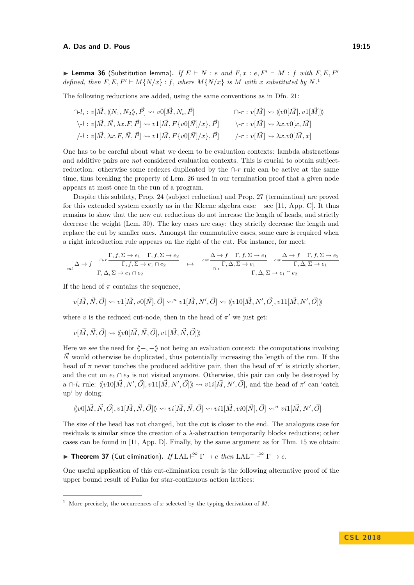**Example 36** (Substitution lemma). If  $E \vdash N$  : *e and*  $F, x : e, F' \vdash M : f$  *with*  $F, E, F'$ *defined, then*  $F, E, F' \vdash M\{N/x\} : f$ *, where*  $M\{N/x\}$  *is*  $M$  *with*  $x$  *substituted by*  $N$ .<sup>[1](#page-14-1)</sup>

The following reductions are added, using the same conventions as in Dfn. [21:](#page-9-2)

$$
\bigcap -l_i: v[\vec{M}, \langle\!\langle N_1, N_2\rangle\!\rangle, \vec{P}] \rightsquigarrow v0[\vec{M}, N_i, \vec{P}] \qquad \bigcap -r: v[\vec{M}] \rightsquigarrow \langle\!\langle v0[\vec{M}], v1[\vec{M}]\rangle\!\rangle
$$
  
\n
$$
\bigg\backslash -l: v[\vec{M}, \vec{N}, \lambda x. F, \vec{P}] \rightsquigarrow v1[\vec{M}, F\{v0[\vec{N}]/x\}, \vec{P}] \qquad \bigg\backslash -r: v[\vec{M}] \rightsquigarrow \lambda x. v0[x, \vec{M}]
$$
  
\n
$$
\bigg\lbrace -l: v[\vec{M}, \lambda x. F, \vec{N}, \vec{P}] \rightsquigarrow v1[\vec{M}, F\{v0[\vec{N}]/x\}, \vec{P}] \qquad \bigg\rbrace -r: v[\vec{M}] \rightsquigarrow \lambda x. v0[\vec{M}, x]
$$

One has to be careful about what we deem to be evaluation contexts: lambda abstractions and additive pairs are *not* considered evaluation contexts. This is crucial to obtain subjectreduction: otherwise some redexes duplicated by the ∩-*r* rule can be active at the same time, thus breaking the property of Lem. [26](#page-10-2) used in our termination proof that a given node appears at most once in the run of a program.

Despite this subtlety, Prop. [24](#page-10-1) (subject reduction) and Prop. [27](#page-10-4) (termination) are proved for this extended system exactly as in the Kleene algebra case – see [\[11,](#page-16-18) App. C]. It thus remains to show that the new cut reductions do not increase the length of heads, and strictly decrease the weight (Lem. [30\)](#page-11-2). The key cases are easy: they strictly decrease the length and replace the cut by smaller ones. Amongst the commutative cases, some care is required when a right introduction rule appears on the right of the cut. For instance, for meet:

$$
\text{cut} \frac{\Delta \to f \quad \Gamma, f, \Sigma \to e_1 \quad \Gamma, f, \Sigma \to e_2}{\Gamma, \Delta, \Sigma \to e_1 \cap e_2} \quad \mapsto \quad \text{cut} \frac{\Delta \to f \quad \Gamma, f, \Sigma \to e_1}{\text{cut} \cdot \Gamma, \Delta, \Sigma \to e_1 \quad \text{cut}} \frac{\Delta \to f \quad \Gamma, f, \Sigma \to e_2}{\text{cut} \cdot \Gamma, \Delta, \Sigma \to e_1 \cap e_2}
$$

If the head of  $\pi$  contains the sequence,

$$
v[\vec{M}, \vec{N}, \vec{O}] \rightsquigarrow v1[\vec{M}, v0[\vec{N}], \vec{O}] \rightsquigarrow^n v1[\vec{M}, N', \vec{O}] \rightsquigarrow \langle v10[\vec{M}, N', \vec{O}], v11[\vec{M}, N', \vec{O}] \rangle
$$

where *v* is the reduced cut-node, then in the head of  $\pi'$  we just get:

$$
v[\vec{M},\vec{N},\vec{O}] \leadsto \langle\!\langle v0[\vec{M},\vec{N},\vec{O}],v1[\vec{M},\vec{N},\vec{O}]\rangle\!\rangle
$$

Here we see the need for  $\langle -,-\rangle$  not being an evaluation context: the computations involving  $\vec{N}$  would otherwise be duplicated, thus potentially increasing the length of the run. If the head of  $\pi$  never touches the produced additive pair, then the head of  $\pi'$  is strictly shorter, and the cut on  $e_1 \cap e_2$  is not visited anymore. Otherwise, this pair can only be destroyed by a  $\cap$ - $l_i$  rule:  $\langle\!\langle v10[\vec{M}, N', \vec{O}], v11[\vec{M}, N', \vec{O}]\rangle\!\rangle \rightsquigarrow v1i[\vec{M}, N', \vec{O}],$  and the head of  $\pi'$  can 'catch up' by doing:

$$
\langle\!\langle v0[\vec{M}, \vec{N}, \vec{O}], v1[\vec{M}, \vec{N}, \vec{O}]\rangle\!\rangle \rightsquigarrow vi[\vec{M}, \vec{N}, \vec{O}] \rightsquigarrow vi1[\vec{M}, vi0[\vec{N}], \vec{O}] \rightsquigarrow "vi1[\vec{M}, N', \vec{O}]
$$

The size of the head has not changed, but the cut is closer to the end. The analogous case for residuals is similar since the creation of a *λ*-abstraction temporarily blocks reductions; other cases can be found in [\[11,](#page-16-18) App. D]. Finally, by the same argument as for Thm. [15](#page-8-0) we obtain:

<span id="page-14-0"></span>▶ Theorem 37 (Cut elimination). *If* LAL  $\uparrow^{\infty} \Gamma \rightarrow e$  *then* LAL<sup>-</sup>  $\uparrow^{\infty} \Gamma \rightarrow e$ *.* 

One useful application of this cut-elimination result is the following alternative proof of the upper bound result of Palka for star-continuous action lattices:

<span id="page-14-1"></span><sup>&</sup>lt;sup>1</sup> More precisely, the occurrences of  $x$  selected by the typing derivation of  $M$ .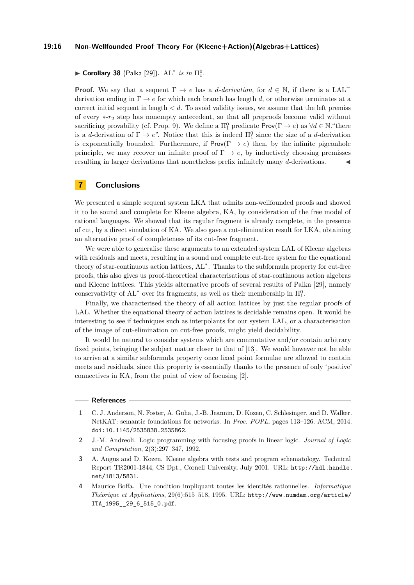#### **19:16 Non-Wellfounded Proof Theory For (Kleene+Action)(Algebras+Lattices)**

# ► Corollary 38 (Palka [\[29\]](#page-17-6)).  $AL^*$  *is in*  $\Pi_1^0$ .

**Proof.** We say that a sequent  $\Gamma \to e$  has a *d*-derivation, for  $d \in \mathbb{N}$ , if there is a LAL<sup> $-$ </sup> derivation ending in  $\Gamma \to e$  for which each branch has length *d*, or otherwise terminates at a correct initial sequent in length *< d*. To avoid validity issues, we assume that the left premiss of every ∗-*r*<sup>2</sup> step has nonempty antecedent, so that all preproofs become valid without sacrificing provability (cf. Prop. [9\)](#page-6-1). We define a  $\Pi_1^0$  predicate  $\mathsf{Prov}(\Gamma \to e)$  as  $\forall d \in \mathbb{N}$ ."there is a *d*-derivation of  $\Gamma \to e$ ". Notice that this is indeed  $\Pi_1^0$  since the size of a *d*-derivation is exponentially bounded. Furthermore, if  $\mathsf{Prov}(\Gamma \to e)$  then, by the infinite pigeonhole principle, we may recover an infinite proof of  $\Gamma \to e$ , by inductively choosing premisses resulting in larger derivations that nonetheless prefix infinitely many *d*-derivations. J

# **7 Conclusions**

We presented a simple sequent system LKA that admits non-wellfounded proofs and showed it to be sound and complete for Kleene algebra, KA, by consideration of the free model of rational languages. We showed that its regular fragment is already complete, in the presence of cut, by a direct simulation of KA. We also gave a cut-elimination result for LKA, obtaining an alternative proof of completeness of its cut-free fragment.

We were able to generalise these arguments to an extended system LAL of Kleene algebras with residuals and meets, resulting in a sound and complete cut-free system for the equational theory of star-continuous action lattices, AL<sup>∗</sup> . Thanks to the subformula property for cut-free proofs, this also gives us proof-theoretical characterisations of star-continuous action algebras and Kleene lattices. This yields alternative proofs of several results of Palka [\[29\]](#page-17-6), namely conservativity of  $AL^*$  over its fragments, as well as their membership in  $\Pi_1^0$ .

Finally, we characterised the theory of all action lattices by just the regular proofs of LAL. Whether the equational theory of action lattices is decidable remains open. It would be interesting to see if techniques such as interpolants for our system LAL, or a characterisation of the image of cut-elimination on cut-free proofs, might yield decidability.

It would be natural to consider systems which are commutative and/or contain arbitrary fixed points, bringing the subject matter closer to that of [\[13\]](#page-16-13). We would however not be able to arrive at a similar subformula property once fixed point formulae are allowed to contain meets and residuals, since this property is essentially thanks to the presence of only 'positive' connectives in KA, from the point of view of focusing [\[2\]](#page-15-3).

#### **References**

- <span id="page-15-2"></span>**1** C. J. Anderson, N. Foster, A. Guha, J.-B. Jeannin, D. Kozen, C. Schlesinger, and D. Walker. NetKAT: semantic foundations for networks. In *Proc. POPL*, pages 113–126. ACM, 2014. [doi:10.1145/2535838.2535862](http://dx.doi.org/10.1145/2535838.2535862).
- <span id="page-15-3"></span>**2** J.-M. Andreoli. Logic programming with focusing proofs in linear logic. *Journal of Logic and Computation*, 2(3):297–347, 1992.
- <span id="page-15-1"></span>**3** A. Angus and D. Kozen. Kleene algebra with tests and program schematology. Technical Report TR2001-1844, CS Dpt., Cornell University, July 2001. URL: [http://hdl.handle.](http://hdl.handle.net/1813/5831) [net/1813/5831](http://hdl.handle.net/1813/5831).
- <span id="page-15-0"></span>**4** Maurice Boffa. Une condition impliquant toutes les identités rationnelles. *Informatique Théorique et Applications*, 29(6):515–518, 1995. URL: [http://www.numdam.org/article/](http://www.numdam.org/article/ITA_1995__29_6_515_0.pdf) [ITA\\_1995\\_\\_29\\_6\\_515\\_0.pdf](http://www.numdam.org/article/ITA_1995__29_6_515_0.pdf).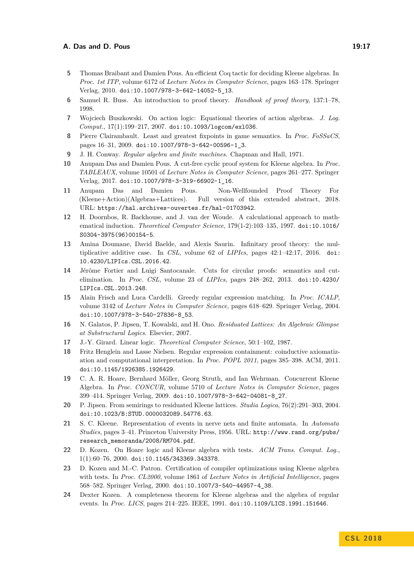- <span id="page-16-4"></span>**5** Thomas Braibant and Damien Pous. An efficient Coq tactic for deciding Kleene algebras. In *Proc. 1st ITP*, volume 6172 of *Lecture Notes in Computer Science*, pages 163–178. Springer Verlag, 2010. [doi:10.1007/978-3-642-14052-5\\_13](http://dx.doi.org/10.1007/978-3-642-14052-5_13).
- <span id="page-16-17"></span>**6** Samuel R. Buss. An introduction to proof theory. *Handbook of proof theory*, 137:1–78, 1998.
- <span id="page-16-8"></span>**7** Wojciech Buszkowski. On action logic: Equational theories of action algebras. *J. Log. Comput.*, 17(1):199–217, 2007. [doi:10.1093/logcom/exl036](http://dx.doi.org/10.1093/logcom/exl036).
- <span id="page-16-14"></span>**8** Pierre Clairambault. Least and greatest fixpoints in game semantics. In *Proc. FoSSaCS*, pages 16–31, 2009. [doi:10.1007/978-3-642-00596-1\\_3](http://dx.doi.org/10.1007/978-3-642-00596-1_3).
- <span id="page-16-16"></span>**9** J. H. Conway. *Regular algebra and finite machines*. Chapman and Hall, 1971.
- <span id="page-16-11"></span>**10** Anupam Das and Damien Pous. A cut-free cyclic proof system for Kleene algebra. In *Proc. TABLEAUX*, volume 10501 of *Lecture Notes in Computer Science*, pages 261–277. Springer Verlag, 2017. [doi:10.1007/978-3-319-66902-1\\_16](http://dx.doi.org/10.1007/978-3-319-66902-1_16).
- <span id="page-16-18"></span>**11** Anupam Das and Damien Pous. Non-Wellfounded Proof Theory For (Kleene+Action)(Algebras+Lattices). Full version of this extended abstract, 2018. URL: <https://hal.archives-ouvertes.fr/hal-01703942>.
- <span id="page-16-5"></span>**12** H. Doornbos, R. Backhouse, and J. van der Woude. A calculational approach to mathematical induction. *Theoretical Computer Science*, 179(1-2):103–135, 1997. [doi:10.1016/](http://dx.doi.org/10.1016/S0304-3975(96)00154-5) [S0304-3975\(96\)00154-5](http://dx.doi.org/10.1016/S0304-3975(96)00154-5).
- <span id="page-16-13"></span>**13** Amina Doumane, David Baelde, and Alexis Saurin. Infinitary proof theory: the multiplicative additive case. In *CSL*, volume 62 of *LIPIcs*, pages 42:1–42:17, 2016. [doi:](http://dx.doi.org/10.4230/LIPIcs.CSL.2016.42) [10.4230/LIPIcs.CSL.2016.42](http://dx.doi.org/10.4230/LIPIcs.CSL.2016.42).
- <span id="page-16-12"></span>**14** Jérôme Fortier and Luigi Santocanale. Cuts for circular proofs: semantics and cutelimination. In *Proc. CSL*, volume 23 of *LIPIcs*, pages 248–262, 2013. [doi:10.4230/](http://dx.doi.org/10.4230/LIPIcs.CSL.2013.248) [LIPIcs.CSL.2013.248](http://dx.doi.org/10.4230/LIPIcs.CSL.2013.248).
- <span id="page-16-6"></span>**15** Alain Frisch and Luca Cardelli. Greedy regular expression matching. In *Proc. ICALP*, volume 3142 of *Lecture Notes in Computer Science*, pages 618–629. Springer Verlag, 2004. [doi:10.1007/978-3-540-27836-8\\_53](http://dx.doi.org/10.1007/978-3-540-27836-8_53).
- <span id="page-16-19"></span>**16** N. Galatos, P. Jipsen, T. Kowalski, and H. Ono. *Residuated Lattices: An Algebraic Glimpse at Substructural Logics*. Elsevier, 2007.
- <span id="page-16-10"></span>**17** J.-Y. Girard. Linear logic. *Theoretical Computer Science*, 50:1–102, 1987.
- <span id="page-16-7"></span>**18** Fritz Henglein and Lasse Nielsen. Regular expression containment: coinductive axiomatization and computational interpretation. In *Proc. POPL 2011*, pages 385–398. ACM, 2011. [doi:10.1145/1926385.1926429](http://dx.doi.org/10.1145/1926385.1926429).
- <span id="page-16-3"></span>**19** C. A. R. Hoare, Bernhard Möller, Georg Struth, and Ian Wehrman. Concurrent Kleene Algebra. In *Proc. CONCUR*, volume 5710 of *Lecture Notes in Computer Science*, pages 399–414. Springer Verlag, 2009. [doi:10.1007/978-3-642-04081-8\\_27](http://dx.doi.org/10.1007/978-3-642-04081-8_27).
- <span id="page-16-9"></span>**20** P. Jipsen. From semirings to residuated Kleene lattices. *Studia Logica*, 76(2):291–303, 2004. [doi:10.1023/B:STUD.0000032089.54776.63](http://dx.doi.org/10.1023/B:STUD.0000032089.54776.63).
- <span id="page-16-15"></span>**21** S. C. Kleene. Representation of events in nerve nets and finite automata. In *Automata Studies*, pages 3–41. Princeton University Press, 1956. URL: [http://www.rand.org/pubs/](http://www.rand.org/pubs/research_memoranda/2008/RM704.pdf) [research\\_memoranda/2008/RM704.pdf](http://www.rand.org/pubs/research_memoranda/2008/RM704.pdf).
- <span id="page-16-1"></span>**22** D. Kozen. On Hoare logic and Kleene algebra with tests. *ACM Trans. Comput. Log.*, 1(1):60–76, 2000. [doi:10.1145/343369.343378](http://dx.doi.org/10.1145/343369.343378).
- <span id="page-16-2"></span>**23** D. Kozen and M.-C. Patron. Certification of compiler optimizations using Kleene algebra with tests. In *Proc. CL2000*, volume 1861 of *Lecture Notes in Artificial Intelligence*, pages 568–582. Springer Verlag, 2000. [doi:10.1007/3-540-44957-4\\_38](http://dx.doi.org/10.1007/3-540-44957-4_38).
- <span id="page-16-0"></span>**24** Dexter Kozen. A completeness theorem for Kleene algebras and the algebra of regular events. In *Proc. LICS*, pages 214–225. IEEE, 1991. [doi:10.1109/LICS.1991.151646](http://dx.doi.org/10.1109/LICS.1991.151646).